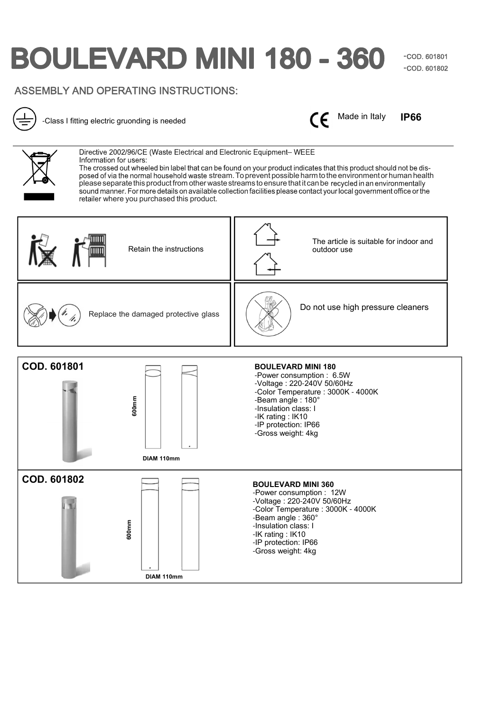# **BOULEVARD MINI 180 - 360**

**-**COD. 601801 **-**COD. 601802

## ASSEMBLY AND OPERATING INSTRUCTIONS:



-Class I fitting electric gruonding is needed

Made in Italy  $\epsilon$ 

**IP66**



Directive 2002/96/CE (Waste Electrical and Electronic Equipment-WEEE Information for users:

The crossed out wheeled bin label that can be found on your product indicates that this product should not be disposed of via the normal household waste stream. To prevent possible harm to the environment or human health please separate this product from other waste streams to ensure that it can be recycled in an environmentally<br>sound manner. For more details on available collection facilities please contact your local government office or retailer where you purchased this product.